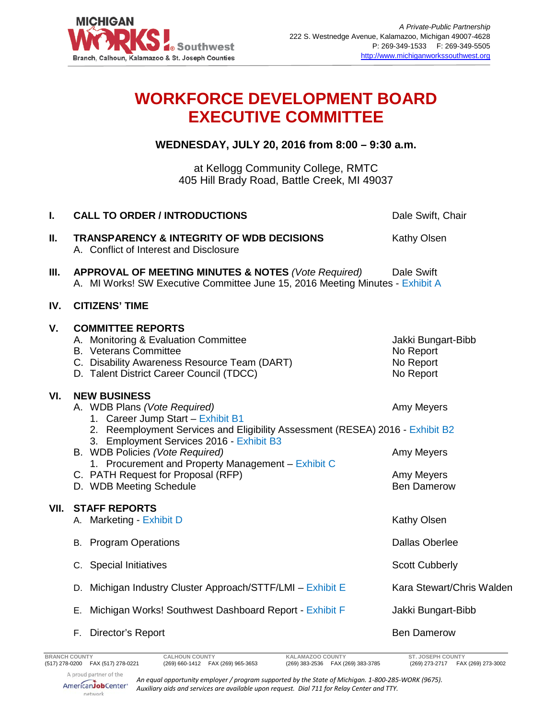

## **WORKFORCE DEVELOPMENT BOARD EXECUTIVE COMMITTEE**

**WEDNESDAY, JULY 20, 2016 from 8:00 – 9:30 a.m.**

at Kellogg Community College, RMTC 405 Hill Brady Road, Battle Creek, MI 49037

| I.   | <b>CALL TO ORDER / INTRODUCTIONS</b>                                                                                                                                                                                                                                                                                                                                            | Dale Swift, Chair                                                |
|------|---------------------------------------------------------------------------------------------------------------------------------------------------------------------------------------------------------------------------------------------------------------------------------------------------------------------------------------------------------------------------------|------------------------------------------------------------------|
| Ш.   | <b>TRANSPARENCY &amp; INTEGRITY OF WDB DECISIONS</b><br>A. Conflict of Interest and Disclosure                                                                                                                                                                                                                                                                                  | Kathy Olsen                                                      |
| Ш.   | <b>APPROVAL OF MEETING MINUTES &amp; NOTES (Vote Required)</b><br>A. MI Works! SW Executive Committee June 15, 2016 Meeting Minutes - Exhibit A                                                                                                                                                                                                                                 | Dale Swift                                                       |
| IV.  | <b>CITIZENS' TIME</b>                                                                                                                                                                                                                                                                                                                                                           |                                                                  |
| V.   | <b>COMMITTEE REPORTS</b><br>A. Monitoring & Evaluation Committee<br><b>B.</b> Veterans Committee<br>C. Disability Awareness Resource Team (DART)<br>D. Talent District Career Council (TDCC)                                                                                                                                                                                    | Jakki Bungart-Bibb<br>No Report<br>No Report<br>No Report        |
| VI.  | <b>NEW BUSINESS</b><br>A. WDB Plans (Vote Required)<br>1. Career Jump Start - Exhibit B1<br>2. Reemployment Services and Eligibility Assessment (RESEA) 2016 - Exhibit B2<br>3. Employment Services 2016 - Exhibit B3<br>B. WDB Policies (Vote Required)<br>1. Procurement and Property Management - Exhibit C<br>C. PATH Request for Proposal (RFP)<br>D. WDB Meeting Schedule | Amy Meyers<br>Amy Meyers<br>Amy Meyers<br><b>Ben Damerow</b>     |
| VII. | <b>STAFF REPORTS</b><br>A. Marketing - Exhibit D                                                                                                                                                                                                                                                                                                                                | <b>Kathy Olsen</b>                                               |
|      | <b>B.</b> Program Operations                                                                                                                                                                                                                                                                                                                                                    | <b>Dallas Oberlee</b>                                            |
|      | C. Special Initiatives                                                                                                                                                                                                                                                                                                                                                          | <b>Scott Cubberly</b>                                            |
|      | D. Michigan Industry Cluster Approach/STTF/LMI - Exhibit E                                                                                                                                                                                                                                                                                                                      | Kara Stewart/Chris Walden                                        |
|      | E. Michigan Works! Southwest Dashboard Report - Exhibit F                                                                                                                                                                                                                                                                                                                       | Jakki Bungart-Bibb                                               |
|      | F. Director's Report                                                                                                                                                                                                                                                                                                                                                            | <b>Ben Damerow</b>                                               |
|      | <b>CALHOUN COUNTY</b><br><b>BRANCH COUNTY</b><br>KALAMAZOO COUNTY<br>(517) 278-0200 FAX (517) 278-0221<br>(269) 660-1412  FAX (269) 965-3653<br>(269) 383-2536  FAX (269) 383-3785                                                                                                                                                                                              | <b>ST. JOSEPH COUNTY</b><br>FAX (269) 273-3002<br>(269) 273-2717 |

(269) 660-1412 FAX (269) 965-3653